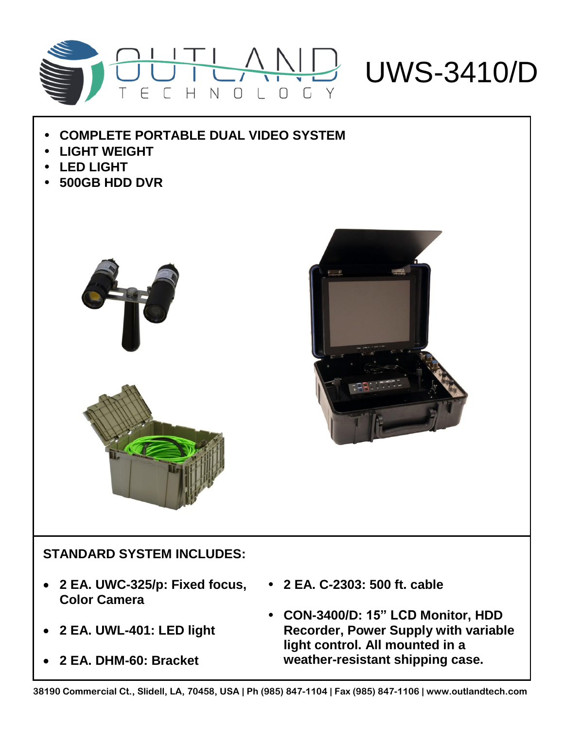

- **COMPLETE PORTABLE DUAL VIDEO SYSTEM**
- **LIGHT WEIGHT**
- **LED LIGHT**
- **500GB HDD DVR**





## **STANDARD SYSTEM INCLUDES:**

- **2 EA. UWC-325/p: Fixed focus, Color Camera**
- **2 EA. UWL-401: LED light**
- **2 EA. DHM-60: Bracket**
- **2 EA. C-2303: 500 ft. cable**
- **CON-3400/D: 15" LCD Monitor, HDD Recorder, Power Supply with variable light control. All mounted in a weather-resistant shipping case.**